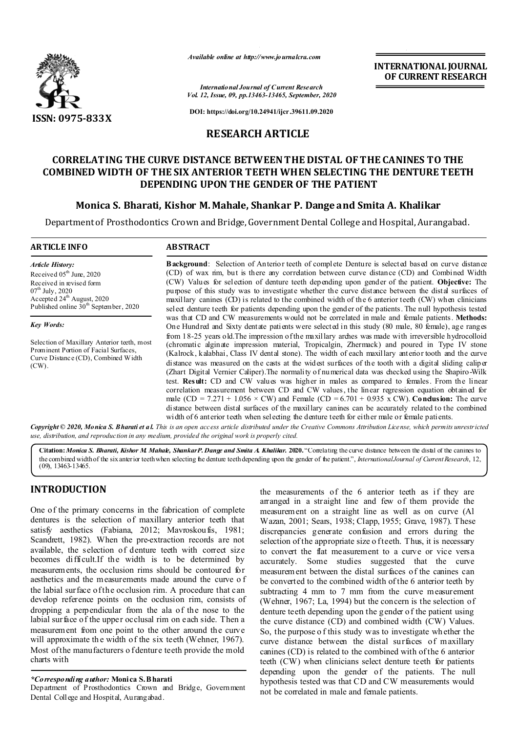

*Available online at http://www.journalcra.com*

*International Journal of Current Research Vol. 12, Issue, 09, pp.13463-13465, September, 2020*

**DOI: https://doi.org/10.24941/ijcr.39611.09.2020**

### **RESEARCH ARTICLE**

## **CORRELATING THE CURVE DISTANCE BETWEEN THE DISTAL OF THE CANINES TO THE COMBINED WIDTH OF THE SIX ANTERIOR TEETH WHEN SELECTING THE DENTURE TEETH DEPENDING UPON THE GENDER OF THE PATIENT**

### **Monica S. Bharati, Kishor M. Mahale, Shankar P. Dange and Smita A. Khalikar**

Department of Prosthodontics Crown and Bridge, Government Dental College and Hospital, Aurangabad.

#### **ARTICLE INFO ABSTRACT Background**: Selection of Anterior teeth of complete Denture is selected based on curve distance (CD) of wax rim, but is there any correlation between curve distance (CD) and Combined Width *Article History:* Received  $05<sup>th</sup>$  June, 2020

Received in revised form  $07^{\text{th}}$  July, 2020 Accepted 24<sup>th</sup> August, 2020 Published online  $30<sup>th</sup>$  September, 2020

*Key Words:*

Selection of Maxillary Anterior teeth, most Prominent Portion of Facial Surfaces, Curve Distance (CD), Combined Width (CW).

(CW) Values for selection of denture teeth depending upon gender of the patient. **Objective:** The purpose of this study was to investigate whether the curve distance between the distal surfaces of maxillary canines (CD) is related to the combined width of the 6 anterior teeth (CW) when clinicians select denture teeth for patients depending upon the gender of the patients. The null hypothesis tested was that CD and CW measurements would not be correlated in male and female patients. **Methods:**  One Hundred and Sixty dentate patients were selected in this study (80 male, 80 female), age ranges from 18-25 years old.The impression of the maxillary arches was made with irreversible hydrocolloid (chromatic alginate impression material, Tropicalgin, Zhermack) and poured in Type IV stone (Kalrock, kalabhai, Class IV dental stone). The width of each maxillary anterior tooth and the curve distance was measured on the casts at the widest surfaces of the tooth with a digital sliding caliper (Zhart Digital Vernier Caliper).The normality of numerical data was checked using the Shapiro-Wilk test. **Result:** CD and CW values was higher in males as compared to females. From the linear correlation measurement between CD and CW values, the linear regression equation obtained for male (CD = 7.271 + 1.056  $\times$  CW) and Female (CD = 6.701 + 0.935 x CW). **Condusion:** The curve distance between distal surfaces of the maxillary canines can be accurately related to the combined width of 6 anterior teeth when selecting the denture teeth for either male or female patients.

**INTERNATIONAL JOURNAL OF CURRENT RESEARCH**

Copyright © 2020, Monica S. Bharati et al. This is an open access article distributed under the Creative Commons Attribution License, which permits unrestricted *use, distribution, and reproduction in any medium, provided the original work is properly cited.*

Citation: *Monica S. Bharati, Kishor M. Mahale, Shankar P. Dange and Smita A. Khalikar. 2020. "Correlating the curve distance between the distal of the canines to* the combined width of the six anterior teeth when selecting the denture teeth depending upon the gender of the patient.", *International Journal of Current Research*, 12, (09), 13463-13465.

# **INTRODUCTION**

One of the primary concerns in the fabrication of complete dentures is the selection of maxillary anterior teeth that satisfy aesthetics (Fabiana, 2012; Mavroskoufis, 1981; Scandrett, 1982). When the pre-extraction records are not available, the selection of denture teeth with correct size becomes difficult.If the width is to be determined by measurements, the occlusion rims should be contoured for aesthetics and the measurements made around the curve o f the labial surface of the occlusion rim. A procedure that can develop reference points on the occlusion rim, consists of dropping a perpendicular from the ala of the nose to the labial surface of the upper occlusal rim on each side. Then a measurement from one point to the other around the curve will approximate the width of the six teeth (Wehner, 1967). Most of the manufacturers o f denture teeth provide the mold charts with

#### *\*Corresponding author:* **Monica S. Bharati**

Department of Prosthodontics Crown and Bridge, Government Dental College and Hospital, Aurangabad.

the measurements of the 6 anterior teeth as if they are arranged in a straight line and few of them provide the measurement on a straight line as well as on curve (Al Wazan, 2001; Sears, 1938; Clapp, 1955; Grave, 1987). These discrepancies generate confusion and errors during the selection of the appropriate size o f teeth. Thus, it is necessary to convert the flat measurement to a curve or vice versa accurately. Some studies suggested that the curve measurement between the distal surfaces of the canines can be converted to the combined width of the 6 anterior teeth by subtracting 4 mm to 7 mm from the curve measurement (Wehner, 1967; La, 1994) but the concern is the selection of denture teeth depending upon the gender of the patient using the curve distance (CD) and combined width (CW) Values. So, the purpose o f this study was to investigate wh ether the curve distance between the distal surfaces of maxillary canines (CD) is related to the combined with of the 6 anterior teeth (CW) when clinicians select denture teeth for patients depending upon the gender of the patients. The null hypothesis tested was that CD and CW measurements would not be correlated in male and female patients.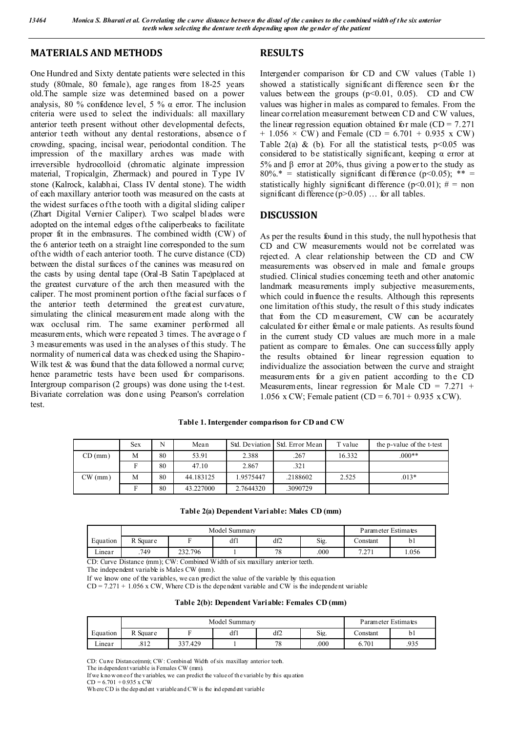### **MATERIALS AND METHODS**

One Hundred and Sixty dentate patients were selected in this study (80male, 80 female), age ranges from 18-25 years old.The sample size was determined based on a power analysis, 80 % confidence level, 5 %  $\alpha$  error. The inclusion criteria were used to select the individuals: all maxillary anterior teeth present without other developmental defects, anterior teeth without any dental restorations, absence o f crowding, spacing, incisal wear, periodontal condition. The impression of the maxillary arches was made with irreversible hydrocolloid (chromatic alginate impression material, Tropicalgin, Zhermack) and poured in Type IV stone (Kalrock, kalabhai, Class IV dental stone). The width of each maxillary anterior tooth was measured on the casts at the widest surfaces of the tooth with a digital sliding caliper (Zhart Digital Vernier Caliper). Two scalpel blades were adopted on the internal edges of the caliperbeaks to facilitate proper fit in the embrasures. The combined width (CW) of the 6 anterior teeth on a straight line corresponded to the sum of the width of each anterior tooth. T he curve distance (CD) between the distal surfaces of the canines was measured on the casts by using dental tape (Oral-B Satin Tape)placed at the greatest curvature of the arch then measured with the caliper. The most prominent portion of the facial surfaces o f the anterior teeth determined the greatest curvature, simulating the clinical measurement made along with the wax occlusal rim. The same examiner performed all measurements, which were repeated 3 times. The average o f 3 measurements was used in the analyses of this study. T he normality of numerical data was checked using the Shapiro-Wilk test & was found that the data followed a normal curve; hence parametric tests have been used for comparisons. Intergroup comparison (2 groups) was done using the t-test. Bivariate correlation was done using Pearson's correlation test.

# **RESULTS**

Intergender comparison for CD and CW values (Table 1) showed a statistically significant difference seen for the values between the groups  $(p<0.01, 0.05)$ . CD and CW values was higher in males as compared to females. From the linear correlation measurement between CD and CW values, the linear regression equation obtained for male  $(CD = 7.271)$  $+ 1.056 \times CW$ ) and Female (CD = 6.701 + 0.935 x CW) Table 2(a) & (b). For all the statistical tests,  $p \le 0.05$  was considered to be statistically significant, keeping  $\alpha$  error at 5% and β error at 20%, thus giving a power to the study as  $80\%$ <sup>\*</sup> = statistically significant difference (p<0.05); \*\* = statistically highly significant difference (p<0.01);  $# =$  non significant difference  $(p>0.05)$  ... for all tables.

#### **DISCUSSION**

As per the results found in this study, the null hypothesis that CD and CW measurements would not be correlated was rejected. A clear relationship between the CD and CW measurements was observed in male and female groups studied. Clinical studies concerning teeth and other anatomic landmark measurements imply subjective measurements, which could influence the results. Although this represents one limitation of this study, the result o f this study indicates that from the CD measurement, CW can be accurately calculated for either female or male patients. As results found in the current study CD values are much more in a male patient as compare to females. One can successfully apply the results obtained for linear regression equation to individualize the association between the curve and straight measurements for a given patient according to the CD Measurements, linear regression for Male  $CD = 7.271 +$ 1.056 x CW; Female patient  $(CD = 6.701 + 0.935 \text{ x CW})$ .

| Table 1. Intergender comparison for CD and CW |  |
|-----------------------------------------------|--|
|-----------------------------------------------|--|

|         | <b>Sex</b> | N  | Mean      | Std. Deviation | Std. Error Mean | T value | the p-value of the t-test |
|---------|------------|----|-----------|----------------|-----------------|---------|---------------------------|
| CD (mm) | М          | 80 | 53.91     | 2.388          | .267            | 16.332  | $0.00**$                  |
|         |            | 80 | 47.10     | 2.867          | .321            |         |                           |
| CW(mm)  | М          | 80 | 44.183125 | .9575447       | .2188602        | 2.525   | $.013*$                   |
|         |            | 80 | 43.227000 | 2.7644320      | .3090729        |         |                           |

|  | Table 2(a) Dependent Variable: Males CD (mm) |  |  |  |
|--|----------------------------------------------|--|--|--|
|--|----------------------------------------------|--|--|--|

|          |          | Model Summary | Parameter Estimates |          |      |                                        |      |
|----------|----------|---------------|---------------------|----------|------|----------------------------------------|------|
| Equation | R Square |               | df1                 | df2      | Sig. | .`onstant                              | b1   |
| ∟inear   | .749     | 232.796       |                     | 70<br>۰ð | .000 | 7.271<br>$\cdot$ . $\angle$ / $\angle$ | .056 |

CD: Curve Distance (mm); CW: Combined Width of six maxillary anterior teeth.

The independent variable is Males CW (mm).

If we know one of the variables, we can predict the value of the variable by this equation

 $CD = 7.271 + 1.056$  x CW, Where CD is the dependent variable and CW is the independent variable

#### **Table 2(b): Dependent Variable: Females CD (mm)**

|               |          | Model Summary | Parameter Estimates |     |      |           |      |
|---------------|----------|---------------|---------------------|-----|------|-----------|------|
| Equation      | R Square | ∽             | df1                 | df2 | Sig. | .`onstant | bl   |
| - -<br>_inear | .812     | 337.429       |                     | 78  | .000 | 6.701     | .935 |

CD: Curve Distance(mm); CW: Combined Width of six maxillary anterior teeth.

The in dependent variable is Females CW (mm).

If we kno w on e of the variables, we can predict the value of th e variable by this equ ation  $CD = 6.701 + 0.935$  x CW

Wh ere CD is the dep end ent variable and CW is the ind epend ent variable